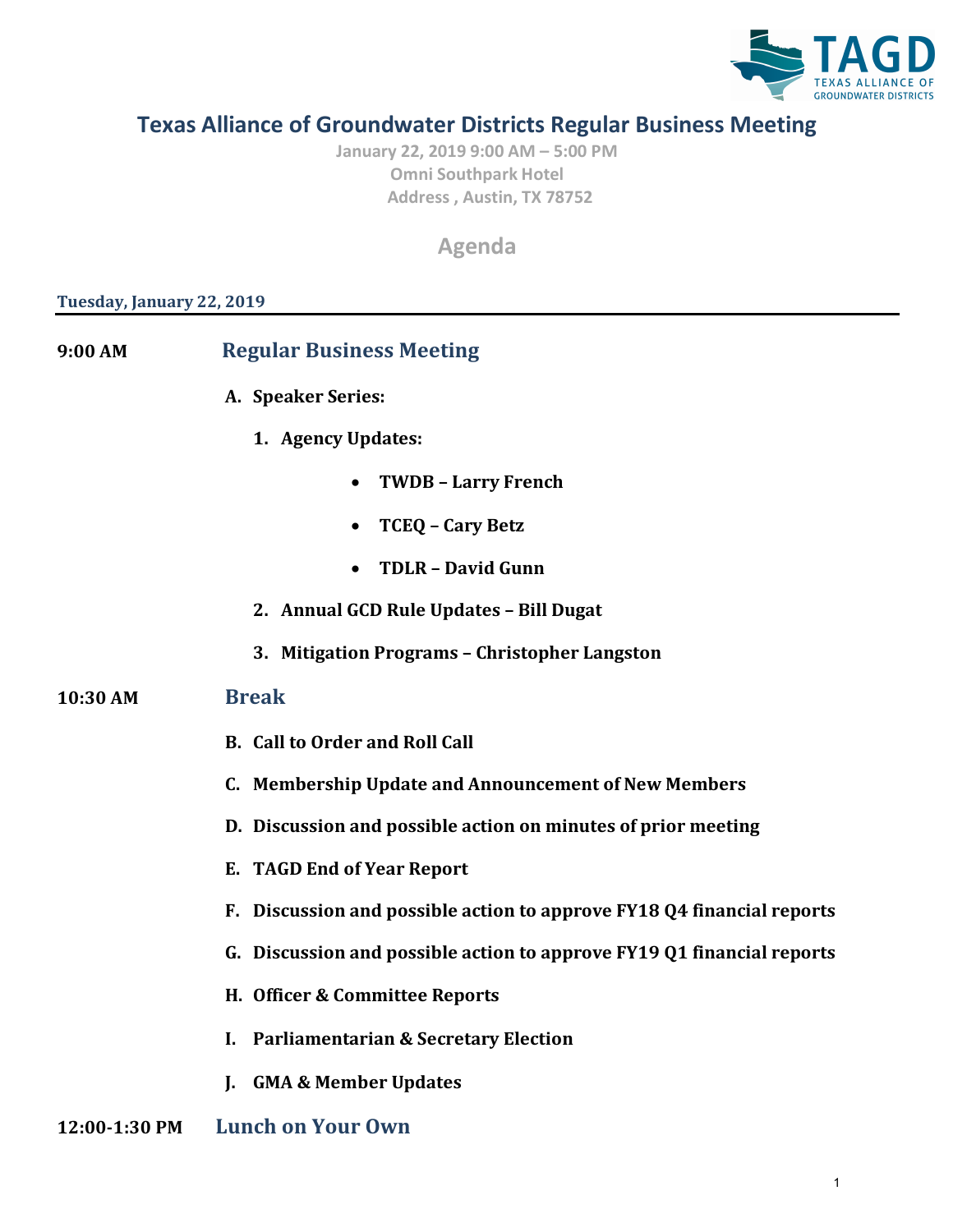

## **Texas Alliance of Groundwater Districts Regular Business Meeting**

**January 22, 2019 9:00 AM – 5:00 PM Omni Southpark Hotel Address , Austin, TX 78752**

**Agenda**

## **Tuesday, January 22, 2019**

| 9:00 AM       | <b>Regular Business Meeting</b>                                        |
|---------------|------------------------------------------------------------------------|
|               | A. Speaker Series:                                                     |
|               | 1. Agency Updates:                                                     |
|               | <b>TWDB - Larry French</b>                                             |
|               | <b>TCEQ - Cary Betz</b><br>$\bullet$                                   |
|               | <b>TDLR - David Gunn</b>                                               |
|               | 2. Annual GCD Rule Updates - Bill Dugat                                |
|               | 3. Mitigation Programs - Christopher Langston                          |
| 10:30 AM      | <b>Break</b>                                                           |
|               | <b>B.</b> Call to Order and Roll Call                                  |
|               | C. Membership Update and Announcement of New Members                   |
|               | D. Discussion and possible action on minutes of prior meeting          |
|               | E. TAGD End of Year Report                                             |
|               | F. Discussion and possible action to approve FY18 Q4 financial reports |
|               | G. Discussion and possible action to approve FY19 Q1 financial reports |
|               | H. Officer & Committee Reports                                         |
|               | <b>Parliamentarian &amp; Secretary Election</b><br>L.                  |
|               | <b>GMA &amp; Member Updates</b><br>L.                                  |
| 12:00-1:30 PM | <b>Lunch on Your Own</b>                                               |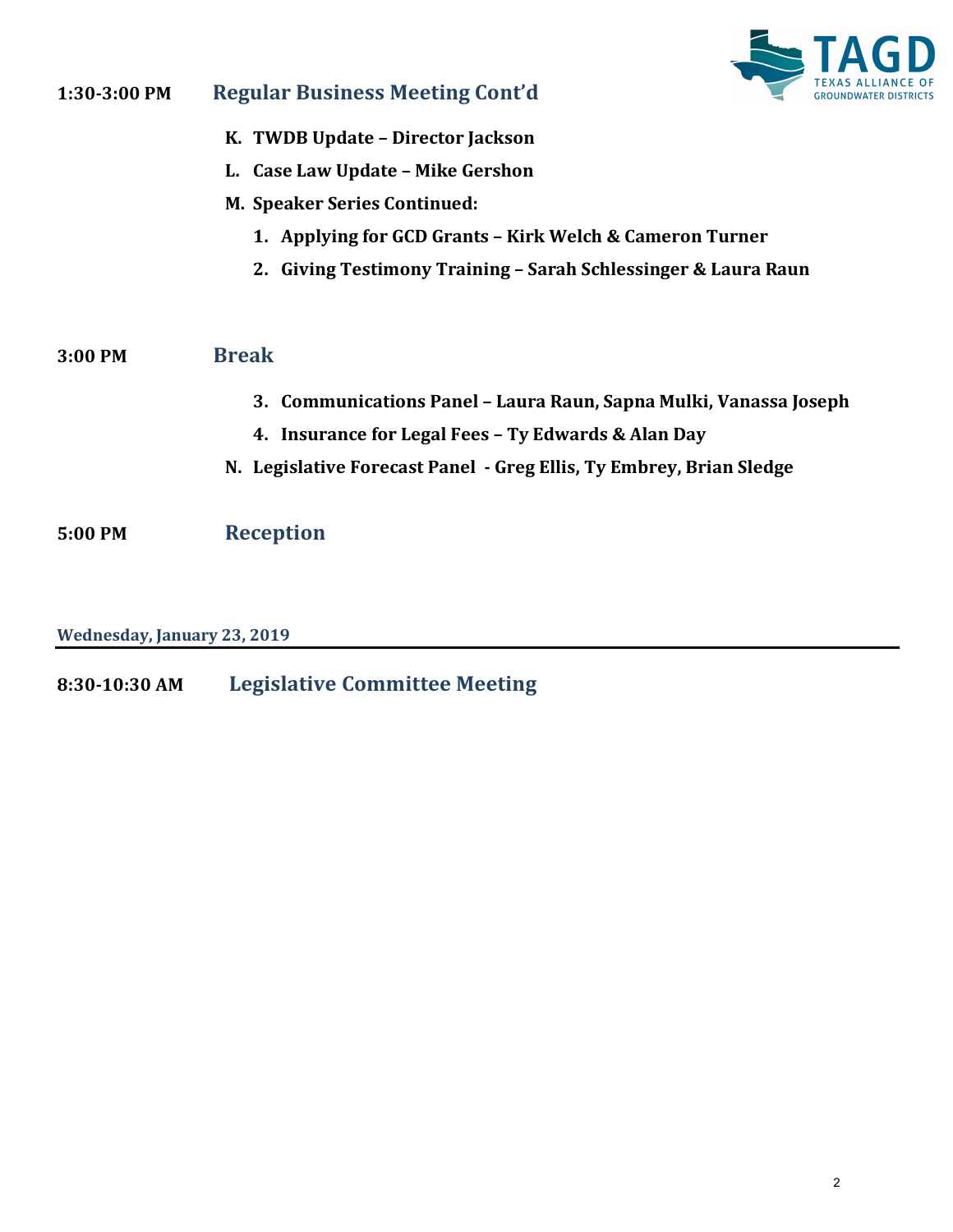

| 1:30-3:00 PM | TEXAS<br><b>Regular Business Meeting Cont'd</b>                     |
|--------------|---------------------------------------------------------------------|
|              | K. TWDB Update - Director Jackson                                   |
|              | L. Case Law Update - Mike Gershon                                   |
|              | <b>M. Speaker Series Continued:</b>                                 |
|              | 1. Applying for GCD Grants - Kirk Welch & Cameron Turner            |
|              | 2. Giving Testimony Training - Sarah Schlessinger & Laura Raun      |
| 3:00 PM      | <b>Break</b>                                                        |
|              | 3. Communications Panel – Laura Raun, Sapna Mulki, Vanassa Joseph   |
|              | 4. Insurance for Legal Fees - Ty Edwards & Alan Day                 |
|              | N. Legislative Forecast Panel - Greg Ellis, Ty Embrey, Brian Sledge |
| 5:00 PM      | <b>Reception</b>                                                    |

**Wednesday, January 23, 2019**

**8:30-10:30 AM Legislative Committee Meeting**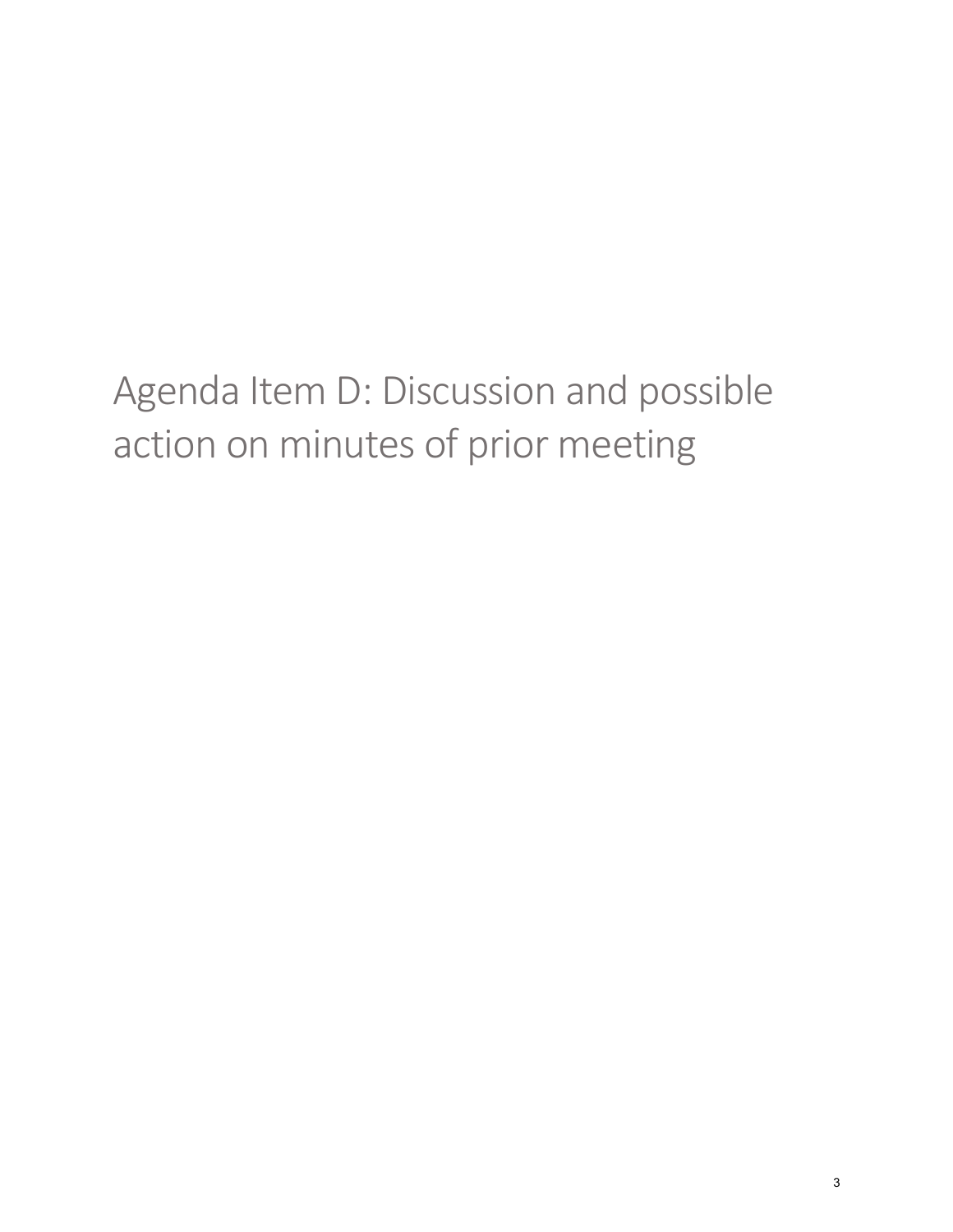<span id="page-2-0"></span>Agenda Item D: Discussion and possible action on minutes of prior meeting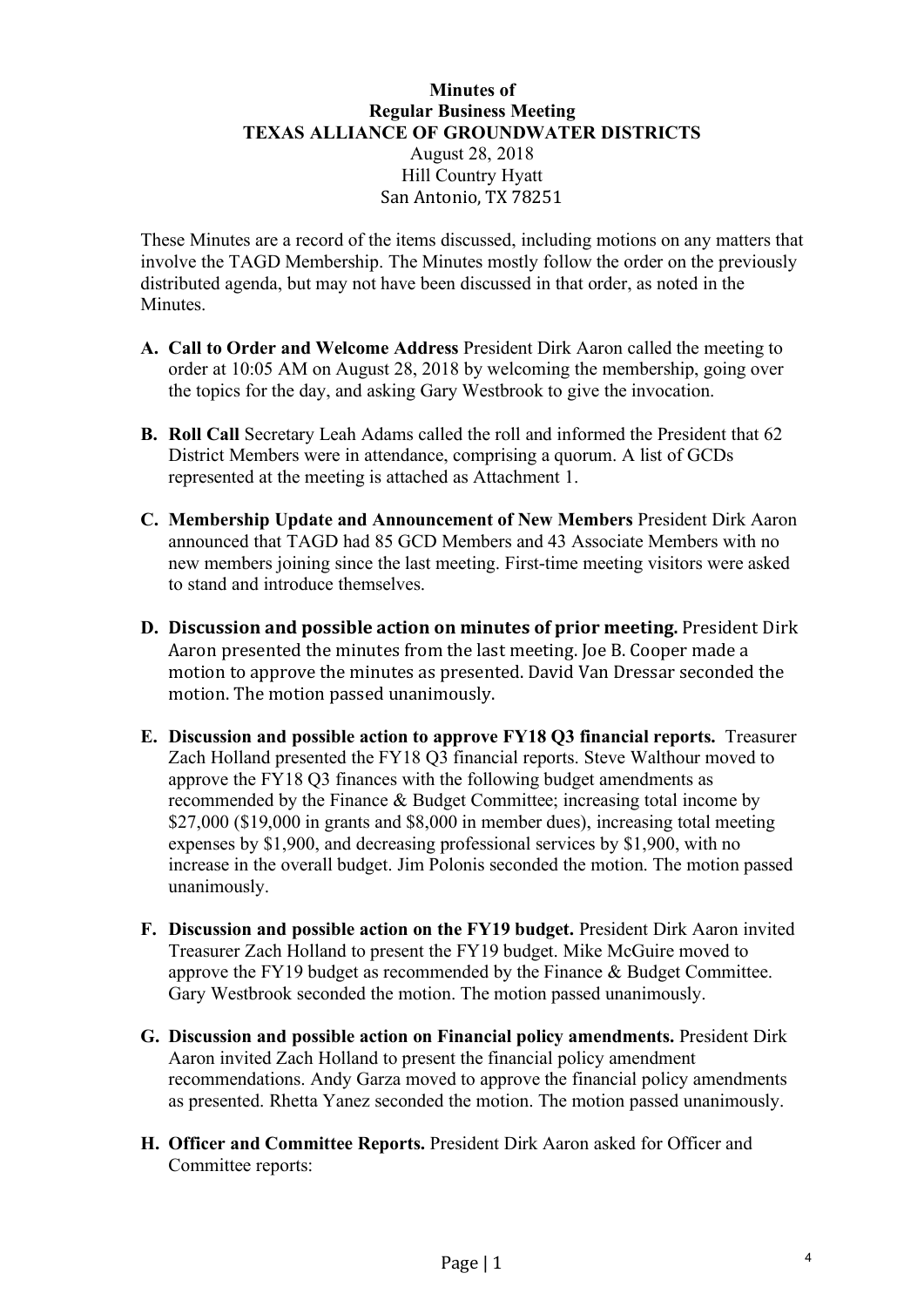### **Minutes of Regular Business Meeting TEXAS ALLIANCE OF GROUNDWATER DISTRICTS** August 28, 2018 Hill Country Hyatt San Antonio, TX 78251

These Minutes are a record of the items discussed, including motions on any matters that involve the TAGD Membership. The Minutes mostly follow the order on the previously distributed agenda, but may not have been discussed in that order, as noted in the Minutes.

- **A. Call to Order and Welcome Address** President Dirk Aaron called the meeting to order at 10:05 AM on August 28, 2018 by welcoming the membership, going over the topics for the day, and asking Gary Westbrook to give the invocation.
- **B. Roll Call** Secretary Leah Adams called the roll and informed the President that 62 District Members were in attendance, comprising a quorum. A list of GCDs represented at the meeting is attached as Attachment 1.
- **C. Membership Update and Announcement of New Members** President Dirk Aaron announced that TAGD had 85 GCD Members and 43 Associate Members with no new members joining since the last meeting. First-time meeting visitors were asked to stand and introduce themselves.
- **D.** Discussion and possible action on minutes of prior meeting. President Dirk Aaron presented the minutes from the last meeting. Joe B. Cooper made a motion to approve the minutes as presented. David Van Dressar seconded the motion. The motion passed unanimously.
- **E. Discussion and possible action to approve FY18 Q3 financial reports.** Treasurer Zach Holland presented the FY18 Q3 financial reports. Steve Walthour moved to approve the FY18 Q3 finances with the following budget amendments as recommended by the Finance & Budget Committee; increasing total income by \$27,000 (\$19,000 in grants and \$8,000 in member dues), increasing total meeting expenses by \$1,900, and decreasing professional services by \$1,900, with no increase in the overall budget. Jim Polonis seconded the motion. The motion passed unanimously.
- **F. Discussion and possible action on the FY19 budget.** President Dirk Aaron invited Treasurer Zach Holland to present the FY19 budget. Mike McGuire moved to approve the FY19 budget as recommended by the Finance & Budget Committee. Gary Westbrook seconded the motion. The motion passed unanimously.
- **G. Discussion and possible action on Financial policy amendments.** President Dirk Aaron invited Zach Holland to present the financial policy amendment recommendations. Andy Garza moved to approve the financial policy amendments as presented. Rhetta Yanez seconded the motion. The motion passed unanimously.
- **H. Officer and Committee Reports.** President Dirk Aaron asked for Officer and Committee reports: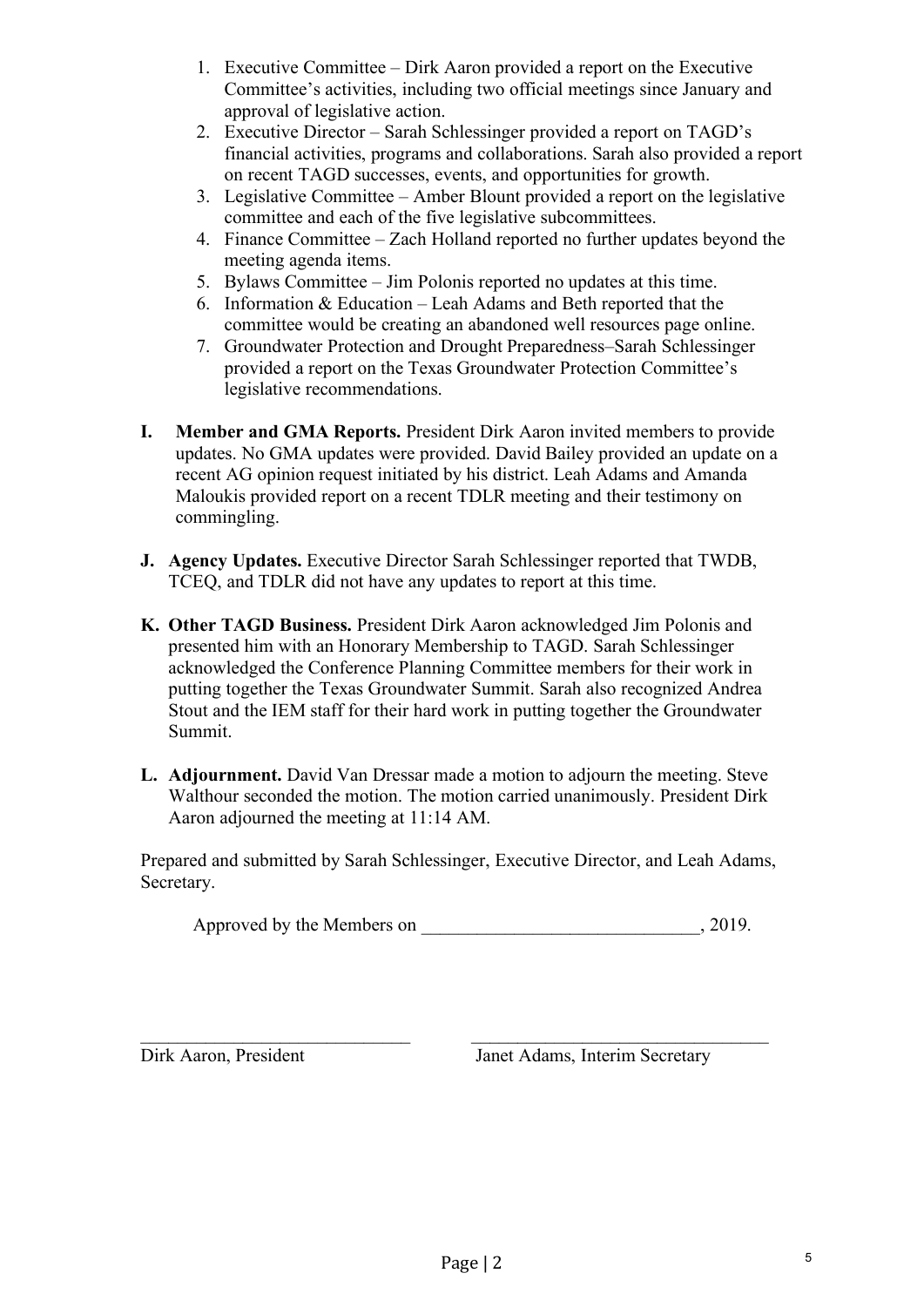- 1. Executive Committee Dirk Aaron provided a report on the Executive Committee's activities, including two official meetings since January and approval of legislative action.
- 2. Executive Director Sarah Schlessinger provided a report on TAGD's financial activities, programs and collaborations. Sarah also provided a report on recent TAGD successes, events, and opportunities for growth.
- 3. Legislative Committee Amber Blount provided a report on the legislative committee and each of the five legislative subcommittees.
- 4. Finance Committee Zach Holland reported no further updates beyond the meeting agenda items.
- 5. Bylaws Committee Jim Polonis reported no updates at this time.
- 6. Information & Education Leah Adams and Beth reported that the committee would be creating an abandoned well resources page online.
- 7. Groundwater Protection and Drought Preparedness–Sarah Schlessinger provided a report on the Texas Groundwater Protection Committee's legislative recommendations.
- **I. Member and GMA Reports.** President Dirk Aaron invited members to provide updates. No GMA updates were provided. David Bailey provided an update on a recent AG opinion request initiated by his district. Leah Adams and Amanda Maloukis provided report on a recent TDLR meeting and their testimony on commingling.
- **J. Agency Updates.** Executive Director Sarah Schlessinger reported that TWDB, TCEQ, and TDLR did not have any updates to report at this time.
- **K. Other TAGD Business.** President Dirk Aaron acknowledged Jim Polonis and presented him with an Honorary Membership to TAGD. Sarah Schlessinger acknowledged the Conference Planning Committee members for their work in putting together the Texas Groundwater Summit. Sarah also recognized Andrea Stout and the IEM staff for their hard work in putting together the Groundwater Summit.
- **L. Adjournment.** David Van Dressar made a motion to adjourn the meeting. Steve Walthour seconded the motion. The motion carried unanimously. President Dirk Aaron adjourned the meeting at 11:14 AM.

Prepared and submitted by Sarah Schlessinger, Executive Director, and Leah Adams, Secretary.

 $\_$  , and the set of the set of the set of the set of the set of the set of the set of the set of the set of the set of the set of the set of the set of the set of the set of the set of the set of the set of the set of th

Approved by the Members on  $, 2019.$ 

Dirk Aaron, President Janet Adams, Interim Secretary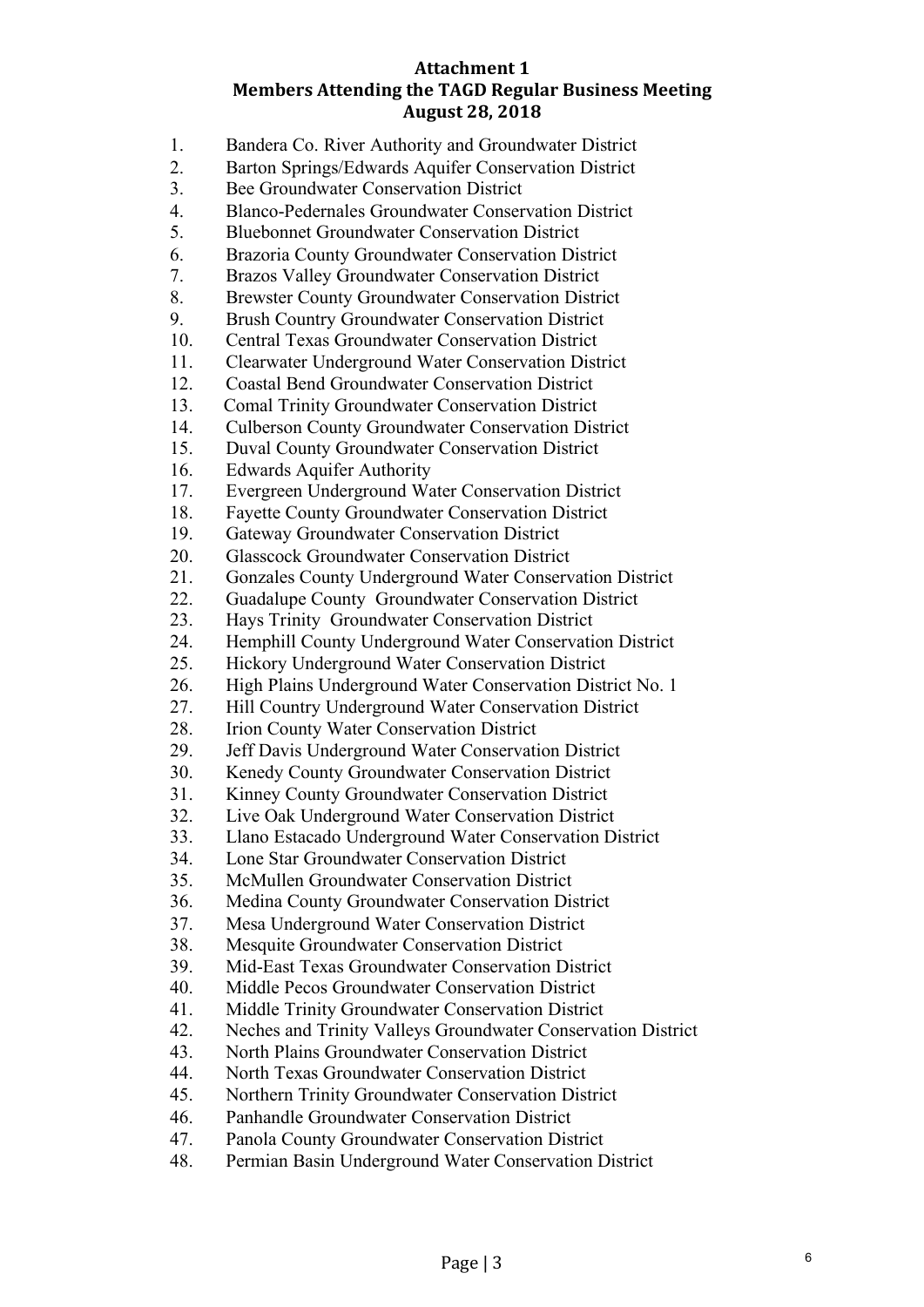### **Attachment 1 Members Attending the TAGD Regular Business Meeting August 28, 2018**

- 1. Bandera Co. River Authority and Groundwater District
- 2. Barton Springs/Edwards Aquifer Conservation District
- 3. Bee Groundwater Conservation District
- 4. Blanco-Pedernales Groundwater Conservation District
- 5. Bluebonnet Groundwater Conservation District
- 6. Brazoria County Groundwater Conservation District
- 7. Brazos Valley Groundwater Conservation District
- 8. Brewster County Groundwater Conservation District
- 9. Brush Country Groundwater Conservation District
- 10. Central Texas Groundwater Conservation District
- 11. Clearwater Underground Water Conservation District
- 12. Coastal Bend Groundwater Conservation District
- 13. Comal Trinity Groundwater Conservation District
- 14. Culberson County Groundwater Conservation District
- 15. Duval County Groundwater Conservation District
- 16. Edwards Aquifer Authority
- 17. Evergreen Underground Water Conservation District
- 18. Fayette County Groundwater Conservation District
- 19. Gateway Groundwater Conservation District
- 20. Glasscock Groundwater Conservation District
- 21. Gonzales County Underground Water Conservation District
- 22. Guadalupe County Groundwater Conservation District
- 23. Hays Trinity Groundwater Conservation District
- 24. Hemphill County Underground Water Conservation District
- 25. Hickory Underground Water Conservation District
- 26. High Plains Underground Water Conservation District No. 1
- 27. Hill Country Underground Water Conservation District
- 28. Irion County Water Conservation District
- 29. Jeff Davis Underground Water Conservation District
- 30. Kenedy County Groundwater Conservation District
- 31. Kinney County Groundwater Conservation District
- 32. Live Oak Underground Water Conservation District
- 33. Llano Estacado Underground Water Conservation District
- 34. Lone Star Groundwater Conservation District
- 35. McMullen Groundwater Conservation District
- 36. Medina County Groundwater Conservation District
- 37. Mesa Underground Water Conservation District
- 38. Mesquite Groundwater Conservation District
- 39. Mid-East Texas Groundwater Conservation District
- 40. Middle Pecos Groundwater Conservation District
- 41. Middle Trinity Groundwater Conservation District
- 42. Neches and Trinity Valleys Groundwater Conservation District
- 43. North Plains Groundwater Conservation District
- 44. North Texas Groundwater Conservation District
- 45. Northern Trinity Groundwater Conservation District
- 46. Panhandle Groundwater Conservation District
- 47. Panola County Groundwater Conservation District
- 48. Permian Basin Underground Water Conservation District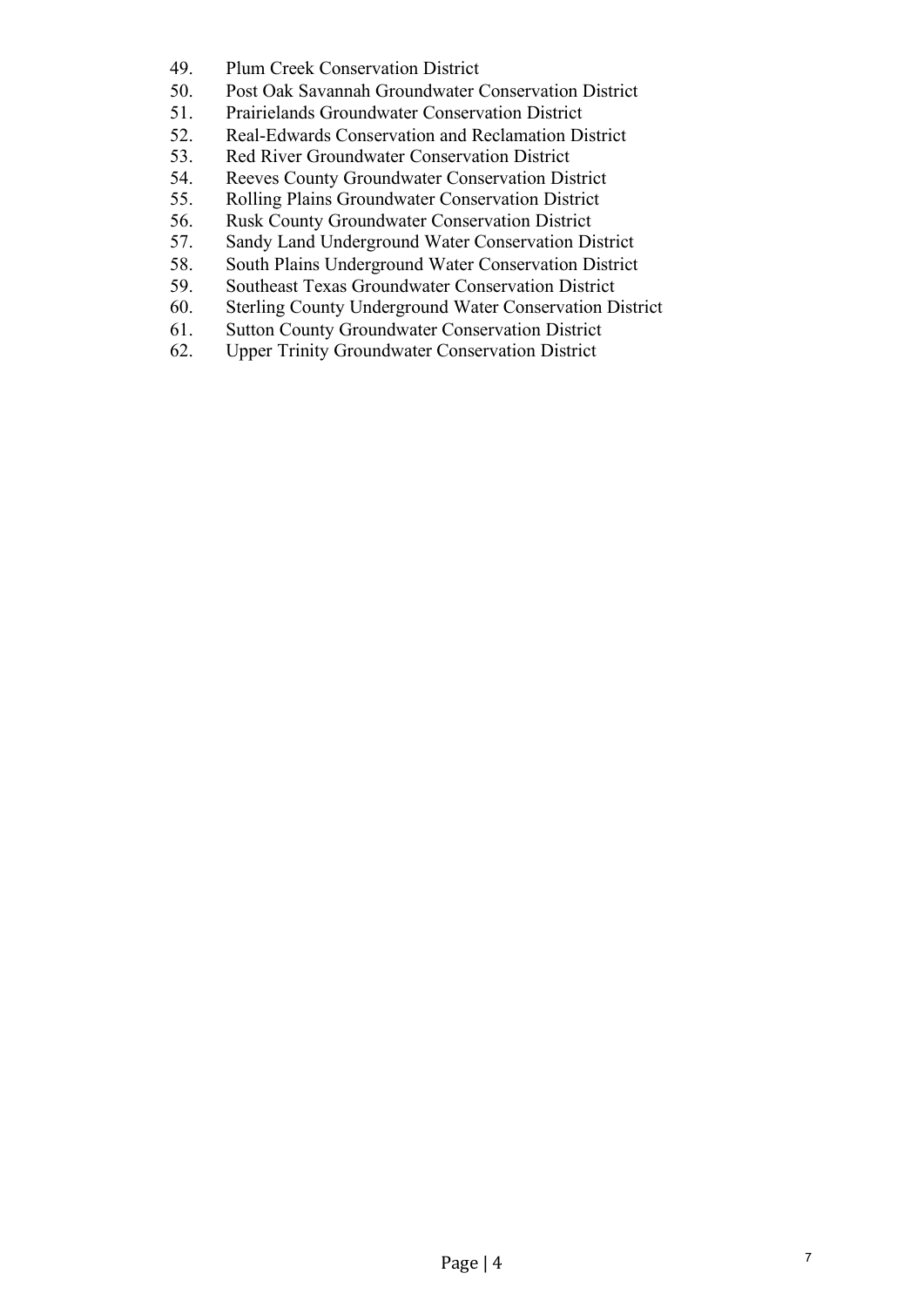- 49. Plum Creek Conservation District
- 50. Post Oak Savannah Groundwater Conservation District
- 51. Prairielands Groundwater Conservation District
- 52. Real-Edwards Conservation and Reclamation District
- 53. Red River Groundwater Conservation District
- 54. Reeves County Groundwater Conservation District
- 55. Rolling Plains Groundwater Conservation District
- 56. Rusk County Groundwater Conservation District
- 57. Sandy Land Underground Water Conservation District
- 58. South Plains Underground Water Conservation District
- 59. Southeast Texas Groundwater Conservation District
- 60. Sterling County Underground Water Conservation District
- 61. Sutton County Groundwater Conservation District
- 62. Upper Trinity Groundwater Conservation District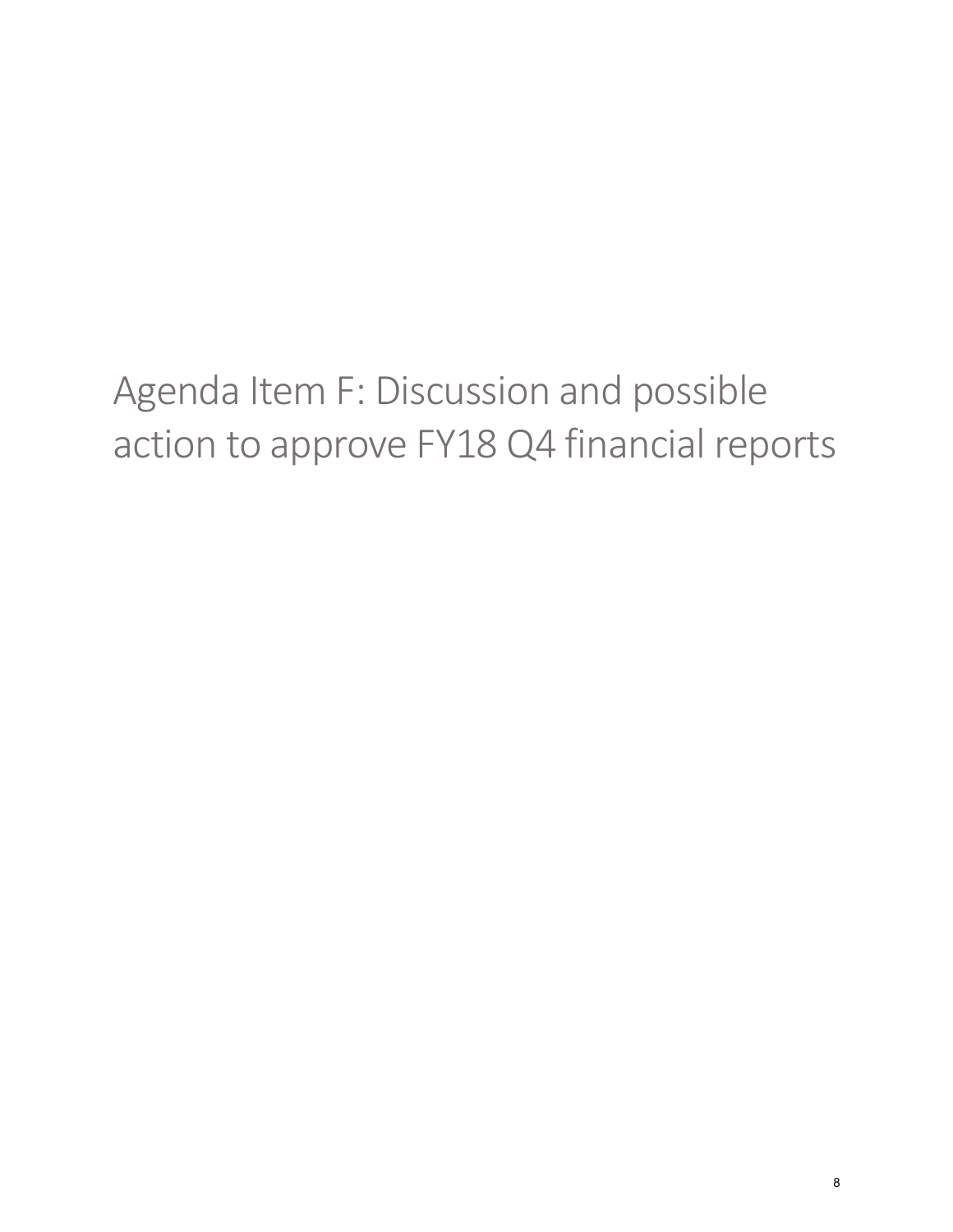# <span id="page-7-0"></span>Agenda Item F: Discussion and possible action to approve FY18 Q4 financial reports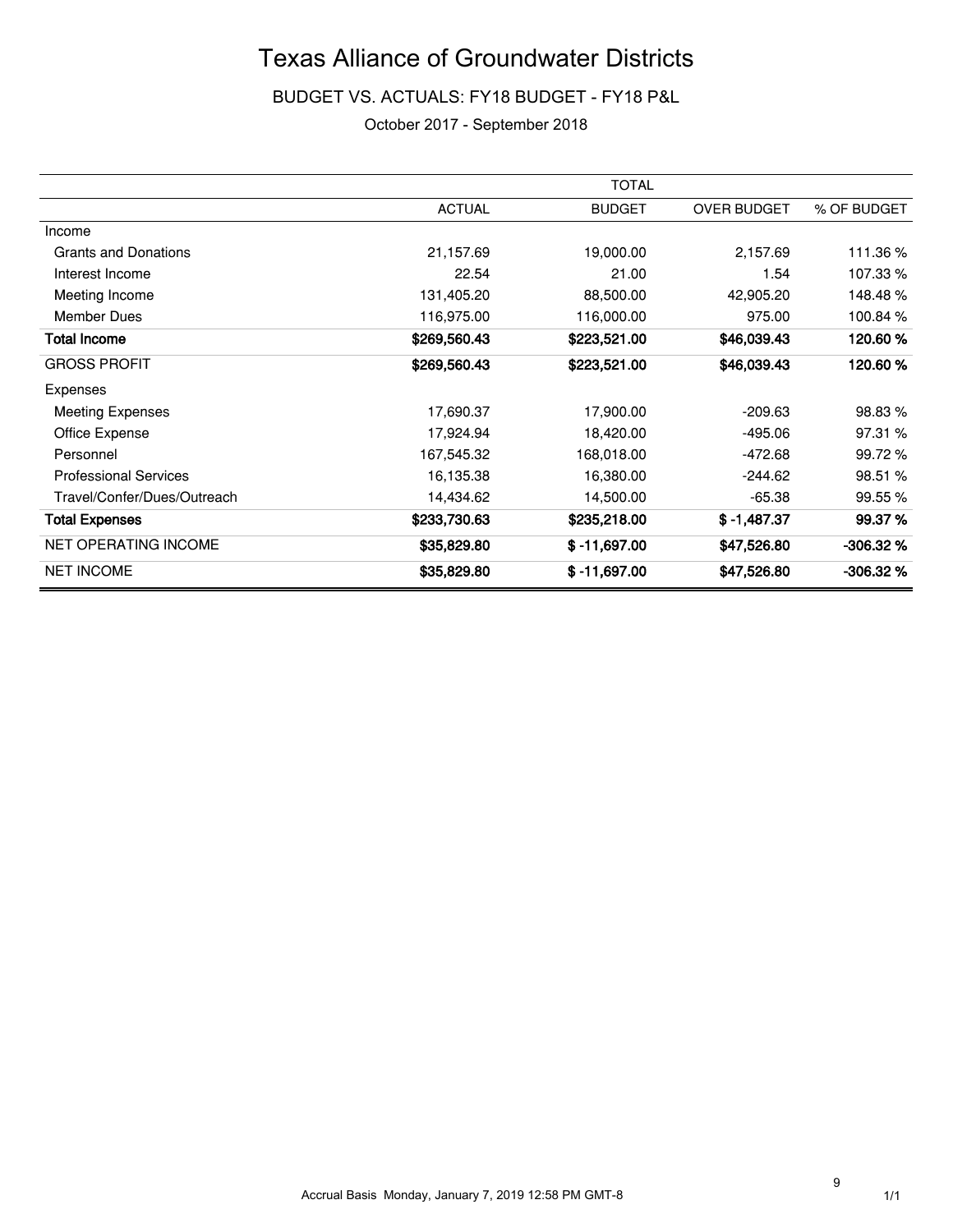BUDGET VS. ACTUALS: FY18 BUDGET - FY18 P&L

October 2017 - September 2018

|                              |               | <b>TOTAL</b>   |                    |             |
|------------------------------|---------------|----------------|--------------------|-------------|
|                              | <b>ACTUAL</b> | <b>BUDGET</b>  | <b>OVER BUDGET</b> | % OF BUDGET |
| Income                       |               |                |                    |             |
| <b>Grants and Donations</b>  | 21,157.69     | 19,000.00      | 2,157.69           | 111.36%     |
| Interest Income              | 22.54         | 21.00          | 1.54               | 107.33 %    |
| Meeting Income               | 131,405.20    | 88,500.00      | 42,905.20          | 148.48%     |
| Member Dues                  | 116,975.00    | 116,000.00     | 975.00             | 100.84 %    |
| <b>Total Income</b>          | \$269,560.43  | \$223,521.00   | \$46,039.43        | 120.60%     |
| <b>GROSS PROFIT</b>          | \$269,560.43  | \$223,521.00   | \$46,039.43        | 120.60%     |
| Expenses                     |               |                |                    |             |
| <b>Meeting Expenses</b>      | 17,690.37     | 17,900.00      | $-209.63$          | 98.83 %     |
| Office Expense               | 17,924.94     | 18,420.00      | $-495.06$          | 97.31 %     |
| Personnel                    | 167,545.32    | 168,018.00     | $-472.68$          | 99.72%      |
| <b>Professional Services</b> | 16,135.38     | 16,380.00      | $-244.62$          | 98.51 %     |
| Travel/Confer/Dues/Outreach  | 14,434.62     | 14,500.00      | $-65.38$           | 99.55 %     |
| <b>Total Expenses</b>        | \$233,730.63  | \$235,218.00   | $$ -1,487.37$      | 99.37 %     |
| <b>NET OPERATING INCOME</b>  | \$35,829.80   | $$ -11,697.00$ | \$47,526.80        | $-306.32%$  |
| <b>NET INCOME</b>            | \$35,829.80   | $$ -11,697.00$ | \$47,526.80        | $-306.32%$  |

9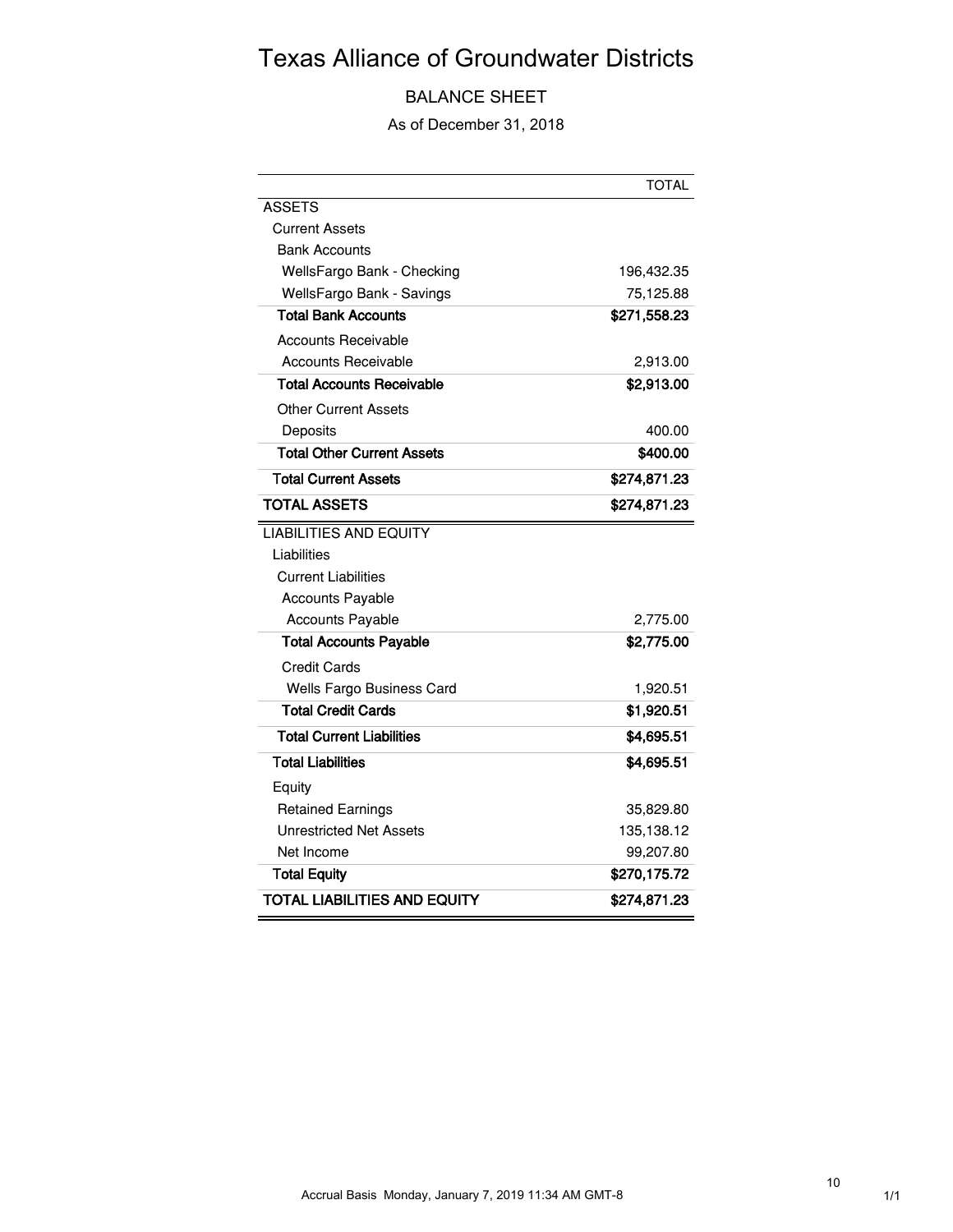## BALANCE SHEET

As of December 31, 2018

|                                   | <b>TOTAL</b> |
|-----------------------------------|--------------|
| <b>ASSETS</b>                     |              |
| <b>Current Assets</b>             |              |
| <b>Bank Accounts</b>              |              |
| WellsFargo Bank - Checking        | 196,432.35   |
| WellsFargo Bank - Savings         | 75,125.88    |
| <b>Total Bank Accounts</b>        | \$271,558.23 |
| <b>Accounts Receivable</b>        |              |
| <b>Accounts Receivable</b>        | 2,913.00     |
| Total Accounts Receivable         | \$2,913.00   |
| <b>Other Current Assets</b>       |              |
| Deposits                          | 400.00       |
| <b>Total Other Current Assets</b> | \$400.00     |
| <b>Total Current Assets</b>       | \$274,871.23 |
| <b>TOTAL ASSETS</b>               | \$274,871.23 |
| <b>LIABILITIES AND EQUITY</b>     |              |
| Liabilities                       |              |
| <b>Current Liabilities</b>        |              |
| <b>Accounts Payable</b>           |              |
| <b>Accounts Payable</b>           | 2,775.00     |
| <b>Total Accounts Payable</b>     | \$2,775.00   |
| <b>Credit Cards</b>               |              |
| Wells Fargo Business Card         | 1,920.51     |
| <b>Total Credit Cards</b>         | \$1,920.51   |
| Total Current Liabilities         | \$4,695.51   |
| <b>Total Liabilities</b>          | \$4,695.51   |
| Equity                            |              |
| <b>Retained Earnings</b>          | 35,829.80    |
| <b>Unrestricted Net Assets</b>    | 135,138.12   |
| Net Income                        | 99,207.80    |
| <b>Total Equity</b>               | \$270,175.72 |
| TOTAL LIABILITIES AND EQUITY      | \$274,871.23 |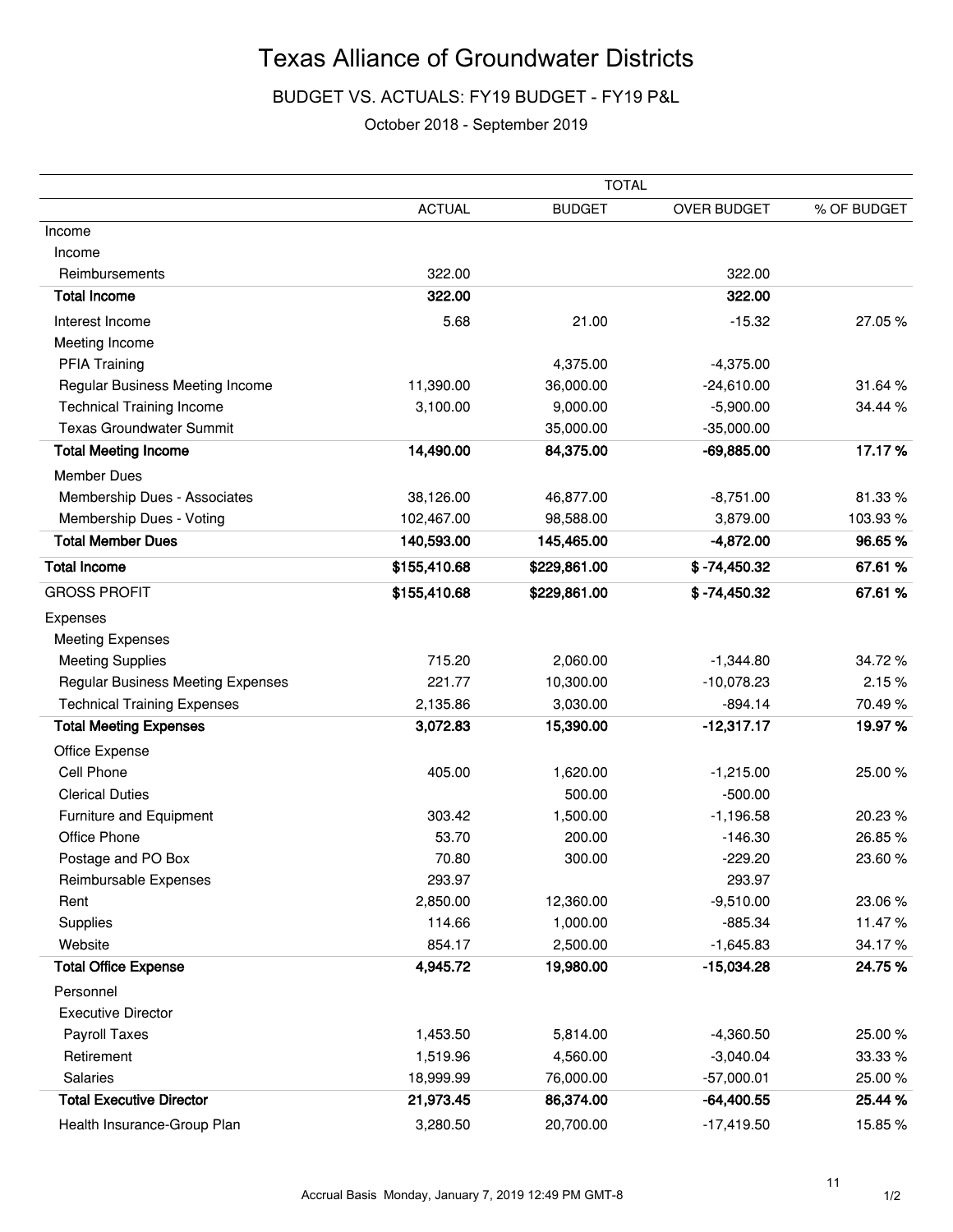## BUDGET VS. ACTUALS: FY19 BUDGET - FY19 P&L

#### October 2018 - September 2019

|                                          |               | <b>TOTAL</b>  |                |             |
|------------------------------------------|---------------|---------------|----------------|-------------|
|                                          | <b>ACTUAL</b> | <b>BUDGET</b> | OVER BUDGET    | % OF BUDGET |
| Income                                   |               |               |                |             |
| Income                                   |               |               |                |             |
| Reimbursements                           | 322.00        |               | 322.00         |             |
| <b>Total Income</b>                      | 322.00        |               | 322.00         |             |
| Interest Income                          | 5.68          | 21.00         | $-15.32$       | 27.05%      |
| Meeting Income                           |               |               |                |             |
| <b>PFIA Training</b>                     |               | 4,375.00      | $-4,375.00$    |             |
| Regular Business Meeting Income          | 11,390.00     | 36,000.00     | $-24,610.00$   | 31.64%      |
| <b>Technical Training Income</b>         | 3,100.00      | 9,000.00      | $-5,900.00$    | 34.44 %     |
| <b>Texas Groundwater Summit</b>          |               | 35,000.00     | $-35,000.00$   |             |
| <b>Total Meeting Income</b>              | 14,490.00     | 84,375.00     | $-69,885.00$   | 17.17%      |
| <b>Member Dues</b>                       |               |               |                |             |
| Membership Dues - Associates             | 38,126.00     | 46,877.00     | $-8,751.00$    | 81.33%      |
| Membership Dues - Voting                 | 102,467.00    | 98,588.00     | 3,879.00       | 103.93%     |
| <b>Total Member Dues</b>                 | 140,593.00    | 145,465.00    | $-4,872.00$    | 96.65%      |
| <b>Total Income</b>                      | \$155,410.68  | \$229,861.00  | $$ -74,450.32$ | 67.61%      |
| <b>GROSS PROFIT</b>                      | \$155,410.68  | \$229,861.00  | $$ -74,450.32$ | 67.61%      |
| Expenses                                 |               |               |                |             |
| <b>Meeting Expenses</b>                  |               |               |                |             |
| <b>Meeting Supplies</b>                  | 715.20        | 2,060.00      | $-1,344.80$    | 34.72%      |
| <b>Regular Business Meeting Expenses</b> | 221.77        | 10,300.00     | $-10,078.23$   | 2.15%       |
| <b>Technical Training Expenses</b>       | 2,135.86      | 3,030.00      | $-894.14$      | 70.49%      |
| <b>Total Meeting Expenses</b>            | 3,072.83      | 15,390.00     | $-12,317.17$   | 19.97%      |
| Office Expense                           |               |               |                |             |
| Cell Phone                               | 405.00        | 1,620.00      | $-1,215.00$    | 25.00%      |
| <b>Clerical Duties</b>                   |               | 500.00        | $-500.00$      |             |
| Furniture and Equipment                  | 303.42        | 1,500.00      | $-1,196.58$    | 20.23 %     |
| Office Phone                             | 53.70         | 200.00        | $-146.30$      | 26.85%      |
| Postage and PO Box                       | 70.80         | 300.00        | $-229.20$      | 23.60%      |
| Reimbursable Expenses                    | 293.97        |               | 293.97         |             |
| Rent                                     | 2,850.00      | 12,360.00     | $-9,510.00$    | 23.06%      |
| Supplies                                 | 114.66        | 1,000.00      | $-885.34$      | 11.47%      |
| Website                                  | 854.17        | 2,500.00      | $-1,645.83$    | 34.17%      |
| <b>Total Office Expense</b>              | 4,945.72      | 19,980.00     | $-15,034.28$   | 24.75%      |
| Personnel                                |               |               |                |             |
| <b>Executive Director</b>                |               |               |                |             |
| Payroll Taxes                            | 1,453.50      | 5,814.00      | $-4,360.50$    | 25.00%      |
| Retirement                               | 1,519.96      | 4,560.00      | $-3,040.04$    | 33.33 %     |
| Salaries                                 | 18,999.99     | 76,000.00     | $-57,000.01$   | 25.00%      |
| <b>Total Executive Director</b>          | 21,973.45     | 86,374.00     | $-64,400.55$   | 25.44 %     |
| Health Insurance-Group Plan              | 3,280.50      | 20,700.00     | $-17,419.50$   | 15.85%      |

11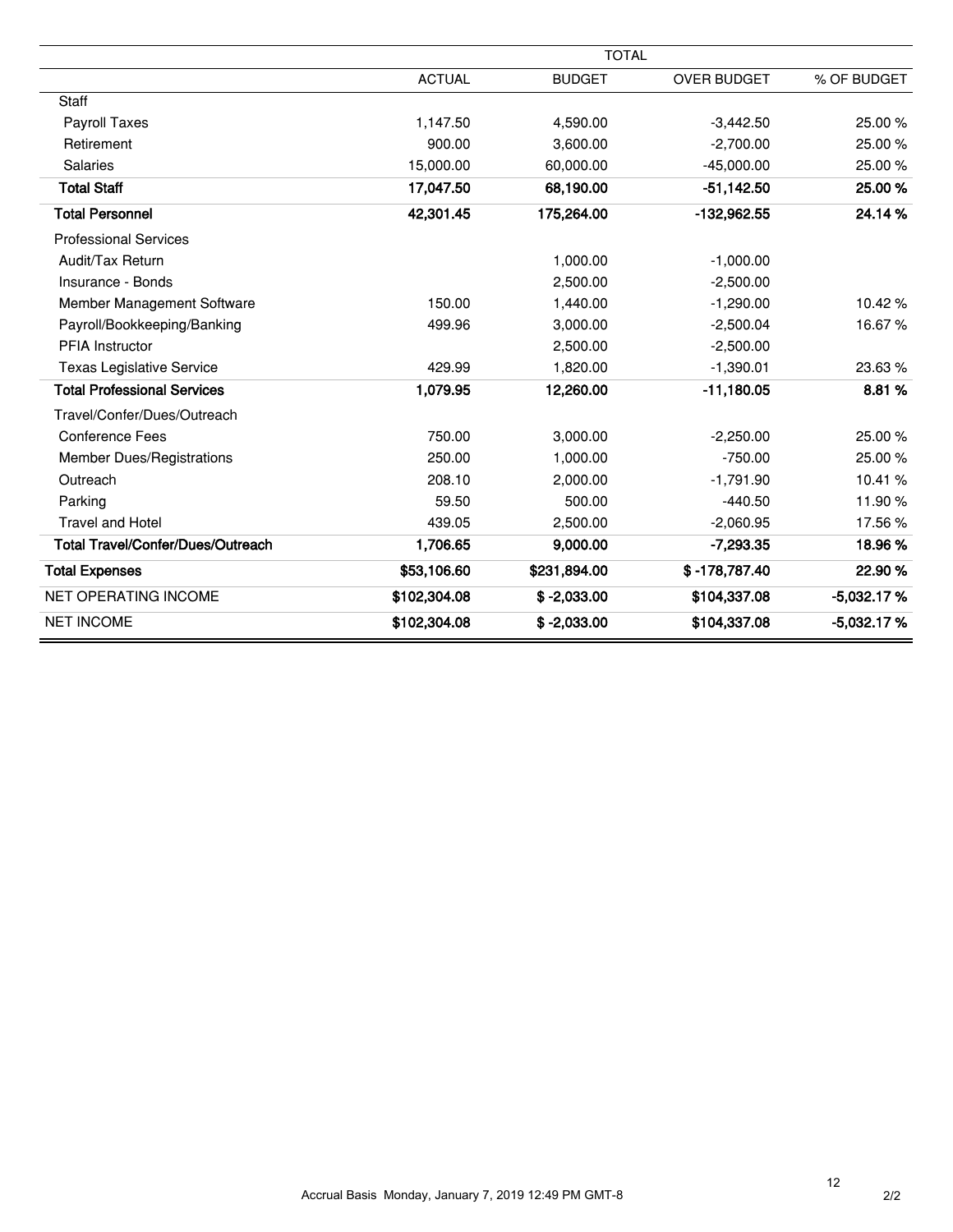|                                          |               | <b>TOTAL</b>  |                    |              |
|------------------------------------------|---------------|---------------|--------------------|--------------|
|                                          | <b>ACTUAL</b> | <b>BUDGET</b> | <b>OVER BUDGET</b> | % OF BUDGET  |
| <b>Staff</b>                             |               |               |                    |              |
| Payroll Taxes                            | 1,147.50      | 4,590.00      | $-3,442.50$        | 25.00%       |
| Retirement                               | 900.00        | 3,600.00      | $-2,700.00$        | 25.00%       |
| Salaries                                 | 15,000.00     | 60,000.00     | $-45,000.00$       | 25.00%       |
| <b>Total Staff</b>                       | 17,047.50     | 68,190.00     | $-51,142.50$       | 25.00 %      |
| <b>Total Personnel</b>                   | 42,301.45     | 175,264.00    | $-132,962.55$      | 24.14%       |
| <b>Professional Services</b>             |               |               |                    |              |
| Audit/Tax Return                         |               | 1,000.00      | $-1,000.00$        |              |
| Insurance - Bonds                        |               | 2,500.00      | $-2,500.00$        |              |
| Member Management Software               | 150.00        | 1,440.00      | $-1,290.00$        | 10.42%       |
| Payroll/Bookkeeping/Banking              | 499.96        | 3,000.00      | $-2,500.04$        | 16.67%       |
| <b>PFIA Instructor</b>                   |               | 2,500.00      | $-2,500.00$        |              |
| <b>Texas Legislative Service</b>         | 429.99        | 1,820.00      | $-1,390.01$        | 23.63%       |
| <b>Total Professional Services</b>       | 1,079.95      | 12,260.00     | $-11,180.05$       | 8.81%        |
| Travel/Confer/Dues/Outreach              |               |               |                    |              |
| <b>Conference Fees</b>                   | 750.00        | 3,000.00      | $-2,250.00$        | 25.00 %      |
| <b>Member Dues/Registrations</b>         | 250.00        | 1,000.00      | $-750.00$          | 25.00%       |
| Outreach                                 | 208.10        | 2.000.00      | $-1,791.90$        | 10.41%       |
| Parking                                  | 59.50         | 500.00        | $-440.50$          | 11.90%       |
| <b>Travel and Hotel</b>                  | 439.05        | 2,500.00      | $-2,060.95$        | 17.56%       |
| <b>Total Travel/Confer/Dues/Outreach</b> | 1,706.65      | 9,000.00      | $-7,293.35$        | 18.96%       |
| <b>Total Expenses</b>                    | \$53,106.60   | \$231,894.00  | $$ -178,787.40$    | 22.90%       |
| <b>NET OPERATING INCOME</b>              | \$102,304.08  | $$ -2,033.00$ | \$104,337.08       | $-5,032.17%$ |
| <b>NET INCOME</b>                        | \$102,304.08  | $$ -2,033.00$ | \$104,337.08       | $-5,032.17%$ |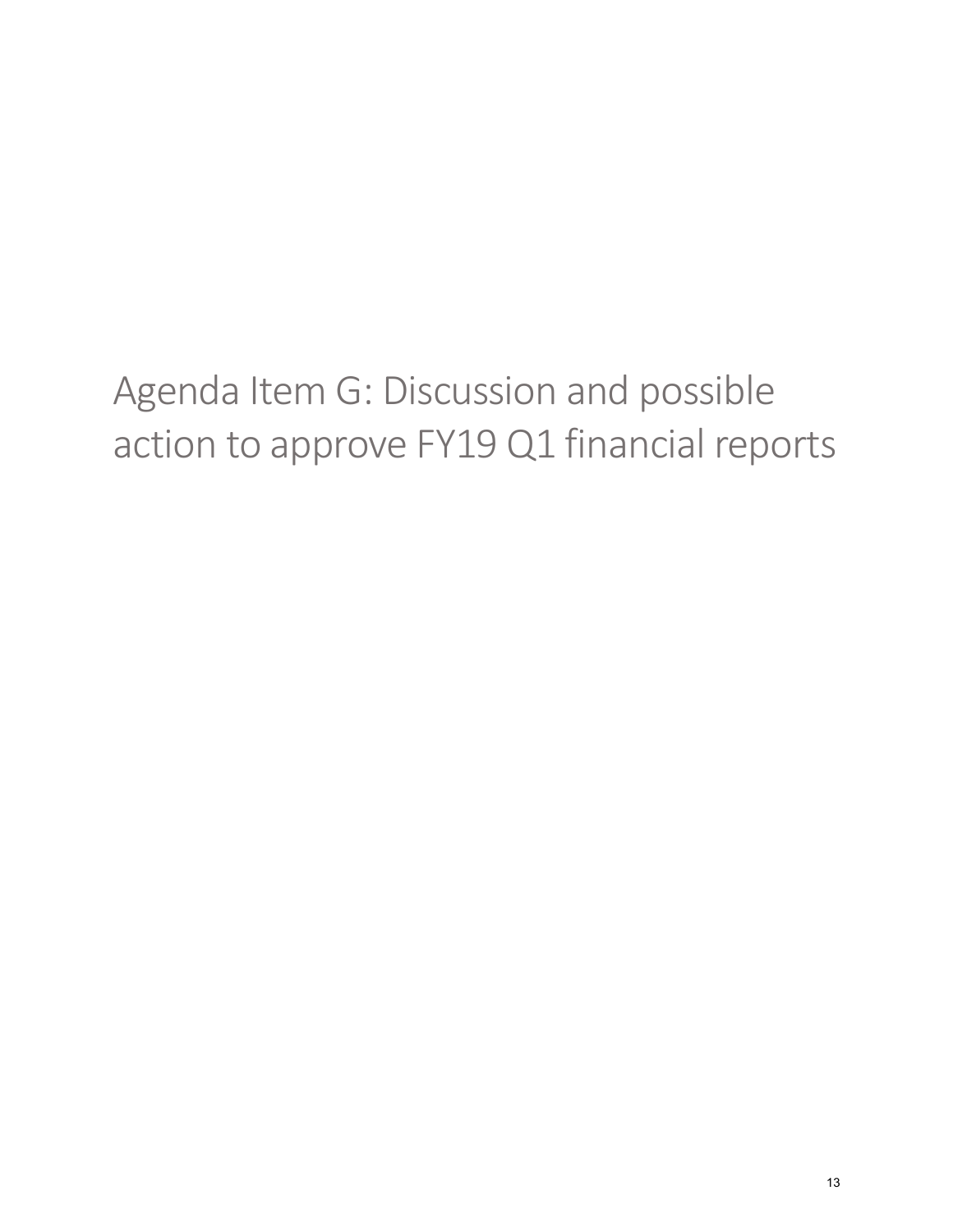# <span id="page-12-0"></span>Agenda Item G: Discussion and possible action to approve FY19 Q1 financial reports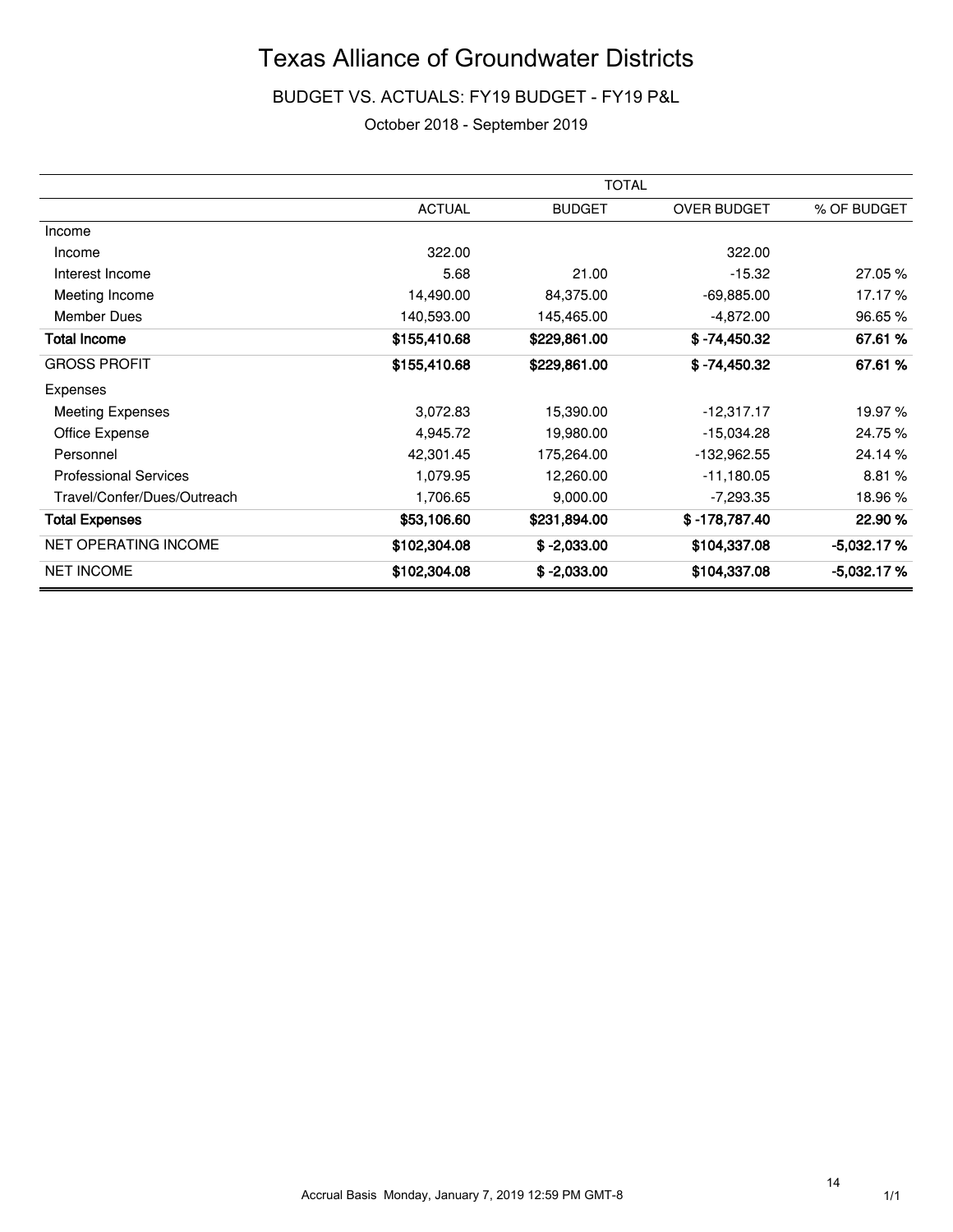### BUDGET VS. ACTUALS: FY19 BUDGET - FY19 P&L

#### October 2018 - September 2019

|                              |               | <b>TOTAL</b>  |                |              |
|------------------------------|---------------|---------------|----------------|--------------|
|                              | <b>ACTUAL</b> | <b>BUDGET</b> | OVER BUDGET    | % OF BUDGET  |
| Income                       |               |               |                |              |
| Income                       | 322.00        |               | 322.00         |              |
| Interest Income              | 5.68          | 21.00         | $-15.32$       | 27.05 %      |
| Meeting Income               | 14,490.00     | 84,375.00     | $-69,885.00$   | 17.17%       |
| <b>Member Dues</b>           | 140,593.00    | 145,465.00    | $-4,872.00$    | 96.65 %      |
| <b>Total Income</b>          | \$155,410.68  | \$229,861.00  | $$ -74,450.32$ | 67.61%       |
| <b>GROSS PROFIT</b>          | \$155,410.68  | \$229,861.00  | $$ -74,450.32$ | 67.61%       |
| Expenses                     |               |               |                |              |
| <b>Meeting Expenses</b>      | 3,072.83      | 15,390.00     | $-12,317.17$   | 19.97 %      |
| Office Expense               | 4,945.72      | 19,980.00     | $-15,034.28$   | 24.75%       |
| Personnel                    | 42,301.45     | 175,264.00    | -132,962.55    | 24.14 %      |
| <b>Professional Services</b> | 1,079.95      | 12,260.00     | $-11,180.05$   | 8.81%        |
| Travel/Confer/Dues/Outreach  | 1,706.65      | 9,000.00      | $-7,293.35$    | 18.96%       |
| <b>Total Expenses</b>        | \$53,106.60   | \$231,894.00  | \$-178,787.40  | 22.90 %      |
| NET OPERATING INCOME         | \$102,304.08  | $$ -2,033.00$ | \$104,337.08   | $-5,032.17%$ |
| <b>NET INCOME</b>            | \$102,304.08  | $$ -2.033.00$ | \$104,337.08   | $-5.032.17%$ |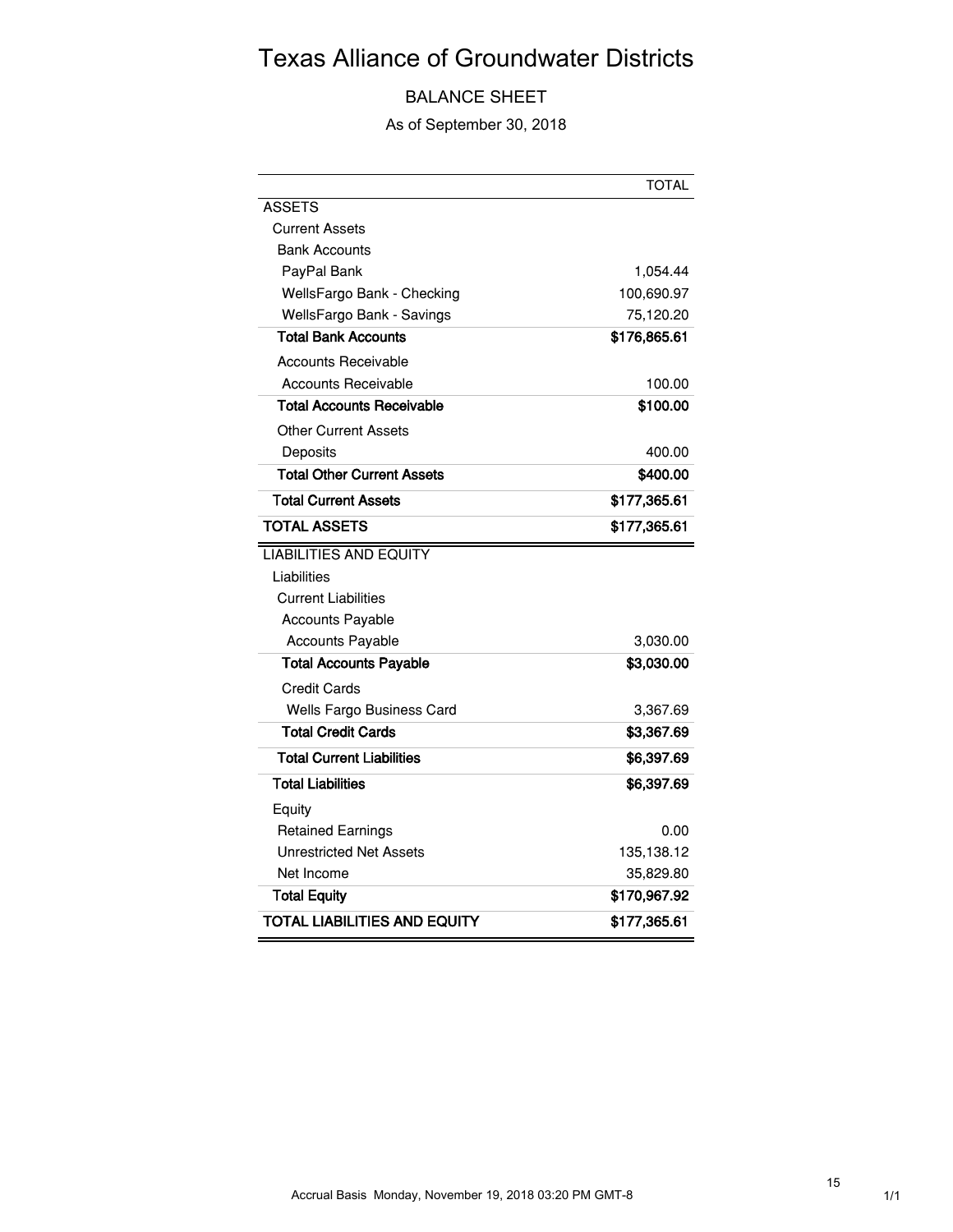## BALANCE SHEET

As of September 30, 2018

|                                     | <b>TOTAL</b> |
|-------------------------------------|--------------|
| ASSETS                              |              |
| Current Assets                      |              |
| <b>Bank Accounts</b>                |              |
| PayPal Bank                         | 1,054.44     |
| WellsFargo Bank - Checking          | 100,690.97   |
| WellsFargo Bank - Savings           | 75,120.20    |
| <b>Total Bank Accounts</b>          | \$176,865.61 |
| <b>Accounts Receivable</b>          |              |
| <b>Accounts Receivable</b>          | 100.00       |
| <b>Total Accounts Receivable</b>    | \$100.00     |
| Other Current Assets                |              |
| Deposits                            | 400.00       |
| <b>Total Other Current Assets</b>   | \$400.00     |
| <b>Total Current Assets</b>         | \$177,365.61 |
| <b>TOTAL ASSETS</b>                 | \$177,365.61 |
| <b>LIABILITIES AND EQUITY</b>       |              |
| Liabilities                         |              |
| <b>Current Liabilities</b>          |              |
| <b>Accounts Payable</b>             |              |
| <b>Accounts Payable</b>             | 3,030.00     |
| <b>Total Accounts Payable</b>       | \$3,030.00   |
| <b>Credit Cards</b>                 |              |
| Wells Fargo Business Card           | 3,367.69     |
| Total Credit Cards                  | \$3,367.69   |
| <b>Total Current Liabilities</b>    | \$6,397.69   |
| <b>Total Liabilities</b>            | \$6,397.69   |
| Equity                              |              |
| <b>Retained Earnings</b>            | 0.00         |
| <b>Unrestricted Net Assets</b>      | 135,138.12   |
| Net Income                          | 35,829.80    |
| <b>Total Equity</b>                 | \$170,967.92 |
| <b>TOTAL LIABILITIES AND EQUITY</b> | \$177,365.61 |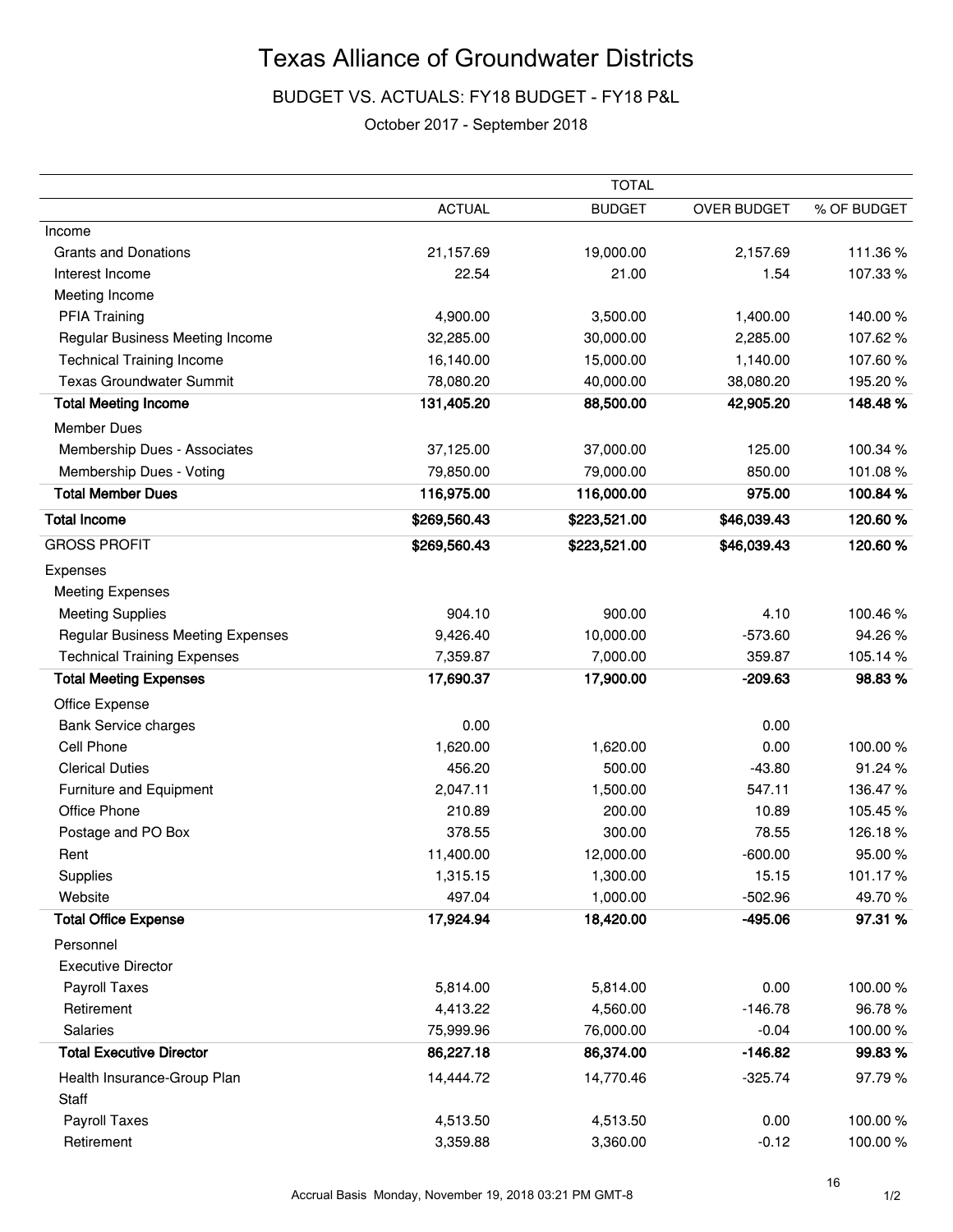BUDGET VS. ACTUALS: FY18 BUDGET - FY18 P&L

#### October 2017 - September 2018

|                                          |               | <b>TOTAL</b>  |             |             |
|------------------------------------------|---------------|---------------|-------------|-------------|
|                                          | <b>ACTUAL</b> | <b>BUDGET</b> | OVER BUDGET | % OF BUDGET |
| Income                                   |               |               |             |             |
| <b>Grants and Donations</b>              | 21,157.69     | 19,000.00     | 2,157.69    | 111.36%     |
| Interest Income                          | 22.54         | 21.00         | 1.54        | 107.33%     |
| Meeting Income                           |               |               |             |             |
| <b>PFIA Training</b>                     | 4,900.00      | 3,500.00      | 1,400.00    | 140.00%     |
| Regular Business Meeting Income          | 32,285.00     | 30,000.00     | 2,285.00    | 107.62%     |
| <b>Technical Training Income</b>         | 16,140.00     | 15,000.00     | 1,140.00    | 107.60%     |
| <b>Texas Groundwater Summit</b>          | 78,080.20     | 40,000.00     | 38,080.20   | 195.20%     |
| <b>Total Meeting Income</b>              | 131,405.20    | 88,500.00     | 42,905.20   | 148.48%     |
| <b>Member Dues</b>                       |               |               |             |             |
| Membership Dues - Associates             | 37,125.00     | 37,000.00     | 125.00      | 100.34 %    |
| Membership Dues - Voting                 | 79,850.00     | 79,000.00     | 850.00      | 101.08%     |
| <b>Total Member Dues</b>                 | 116,975.00    | 116,000.00    | 975.00      | 100.84%     |
| <b>Total Income</b>                      | \$269,560.43  | \$223,521.00  | \$46,039.43 | 120.60%     |
| <b>GROSS PROFIT</b>                      | \$269,560.43  | \$223,521.00  | \$46,039.43 | 120.60%     |
| Expenses                                 |               |               |             |             |
| <b>Meeting Expenses</b>                  |               |               |             |             |
| <b>Meeting Supplies</b>                  | 904.10        | 900.00        | 4.10        | 100.46%     |
| <b>Regular Business Meeting Expenses</b> | 9,426.40      | 10,000.00     | $-573.60$   | 94.26%      |
| <b>Technical Training Expenses</b>       | 7,359.87      | 7,000.00      | 359.87      | 105.14%     |
| <b>Total Meeting Expenses</b>            | 17,690.37     | 17,900.00     | $-209.63$   | 98.83%      |
| Office Expense                           |               |               |             |             |
| <b>Bank Service charges</b>              | 0.00          |               | 0.00        |             |
| Cell Phone                               | 1,620.00      | 1,620.00      | 0.00        | 100.00%     |
| <b>Clerical Duties</b>                   | 456.20        | 500.00        | $-43.80$    | 91.24%      |
| Furniture and Equipment                  | 2,047.11      | 1,500.00      | 547.11      | 136.47%     |
| Office Phone                             | 210.89        | 200.00        | 10.89       | 105.45%     |
| Postage and PO Box                       | 378.55        | 300.00        | 78.55       | 126.18%     |
| Rent                                     | 11,400.00     | 12,000.00     | $-600.00$   | 95.00%      |
| Supplies                                 | 1,315.15      | 1,300.00      | 15.15       | 101.17%     |
| Website                                  | 497.04        | 1,000.00      | $-502.96$   | 49.70%      |
| <b>Total Office Expense</b>              | 17,924.94     | 18,420.00     | $-495.06$   | 97.31 %     |
| Personnel                                |               |               |             |             |
| <b>Executive Director</b>                |               |               |             |             |
| Payroll Taxes                            | 5,814.00      | 5,814.00      | 0.00        | 100.00%     |
| Retirement                               | 4,413.22      | 4,560.00      | $-146.78$   | 96.78%      |
| <b>Salaries</b>                          | 75,999.96     | 76,000.00     | $-0.04$     | 100.00%     |
| <b>Total Executive Director</b>          | 86,227.18     | 86,374.00     | $-146.82$   | 99.83%      |
| Health Insurance-Group Plan              | 14,444.72     | 14,770.46     | $-325.74$   | 97.79%      |
| Staff                                    |               |               |             |             |
| Payroll Taxes                            | 4,513.50      | 4,513.50      | 0.00        | 100.00%     |
| Retirement                               | 3,359.88      | 3,360.00      | $-0.12$     | 100.00%     |

16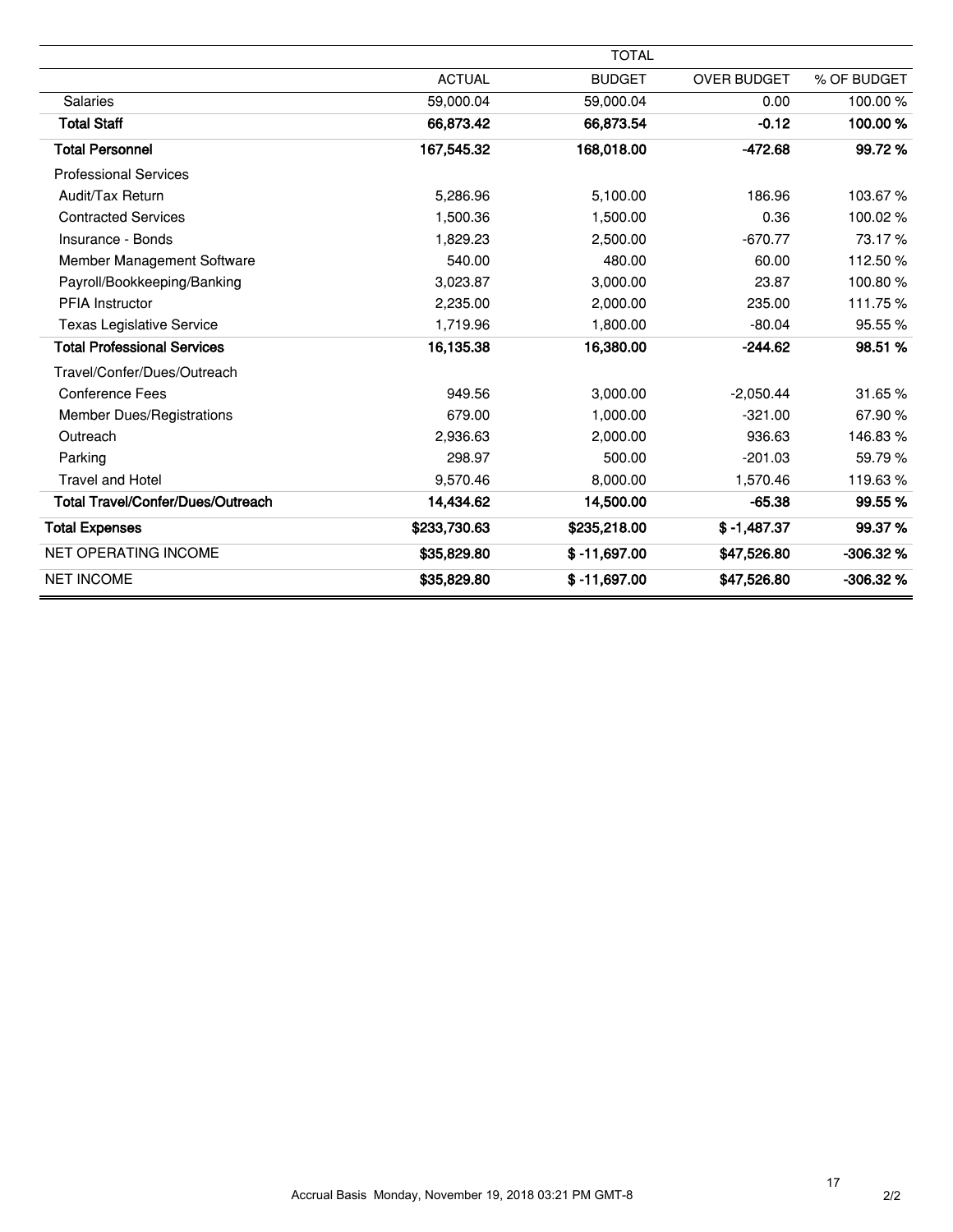|                                          |               | <b>TOTAL</b>   |                    |             |
|------------------------------------------|---------------|----------------|--------------------|-------------|
|                                          | <b>ACTUAL</b> | <b>BUDGET</b>  | <b>OVER BUDGET</b> | % OF BUDGET |
| <b>Salaries</b>                          | 59,000.04     | 59,000.04      | 0.00               | 100.00%     |
| <b>Total Staff</b>                       | 66,873.42     | 66,873.54      | $-0.12$            | 100.00%     |
| <b>Total Personnel</b>                   | 167,545.32    | 168,018.00     | $-472.68$          | 99.72%      |
| <b>Professional Services</b>             |               |                |                    |             |
| Audit/Tax Return                         | 5,286.96      | 5,100.00       | 186.96             | 103.67%     |
| <b>Contracted Services</b>               | 1,500.36      | 1,500.00       | 0.36               | 100.02%     |
| Insurance - Bonds                        | 1,829.23      | 2,500.00       | $-670.77$          | 73.17%      |
| Member Management Software               | 540.00        | 480.00         | 60.00              | 112.50%     |
| Payroll/Bookkeeping/Banking              | 3,023.87      | 3,000.00       | 23.87              | 100.80%     |
| <b>PFIA Instructor</b>                   | 2,235.00      | 2,000.00       | 235.00             | 111.75%     |
| <b>Texas Legislative Service</b>         | 1,719.96      | 1,800.00       | $-80.04$           | 95.55 %     |
| <b>Total Professional Services</b>       | 16,135.38     | 16,380.00      | $-244.62$          | 98.51 %     |
| Travel/Confer/Dues/Outreach              |               |                |                    |             |
| Conference Fees                          | 949.56        | 3,000.00       | $-2.050.44$        | 31.65%      |
| Member Dues/Registrations                | 679.00        | 1,000.00       | $-321.00$          | 67.90%      |
| Outreach                                 | 2,936.63      | 2,000.00       | 936.63             | 146.83%     |
| Parking                                  | 298.97        | 500.00         | $-201.03$          | 59.79%      |
| <b>Travel and Hotel</b>                  | 9,570.46      | 8,000.00       | 1,570.46           | 119.63%     |
| <b>Total Travel/Confer/Dues/Outreach</b> | 14,434.62     | 14,500.00      | $-65.38$           | 99.55%      |
| <b>Total Expenses</b>                    | \$233,730.63  | \$235,218.00   | $$ -1,487.37$      | 99.37%      |
| <b>NET OPERATING INCOME</b>              | \$35,829.80   | $$ -11,697.00$ | \$47,526.80        | $-306.32%$  |
| <b>NET INCOME</b>                        | \$35,829.80   | $$ -11,697.00$ | \$47,526.80        | $-306.32%$  |

ž.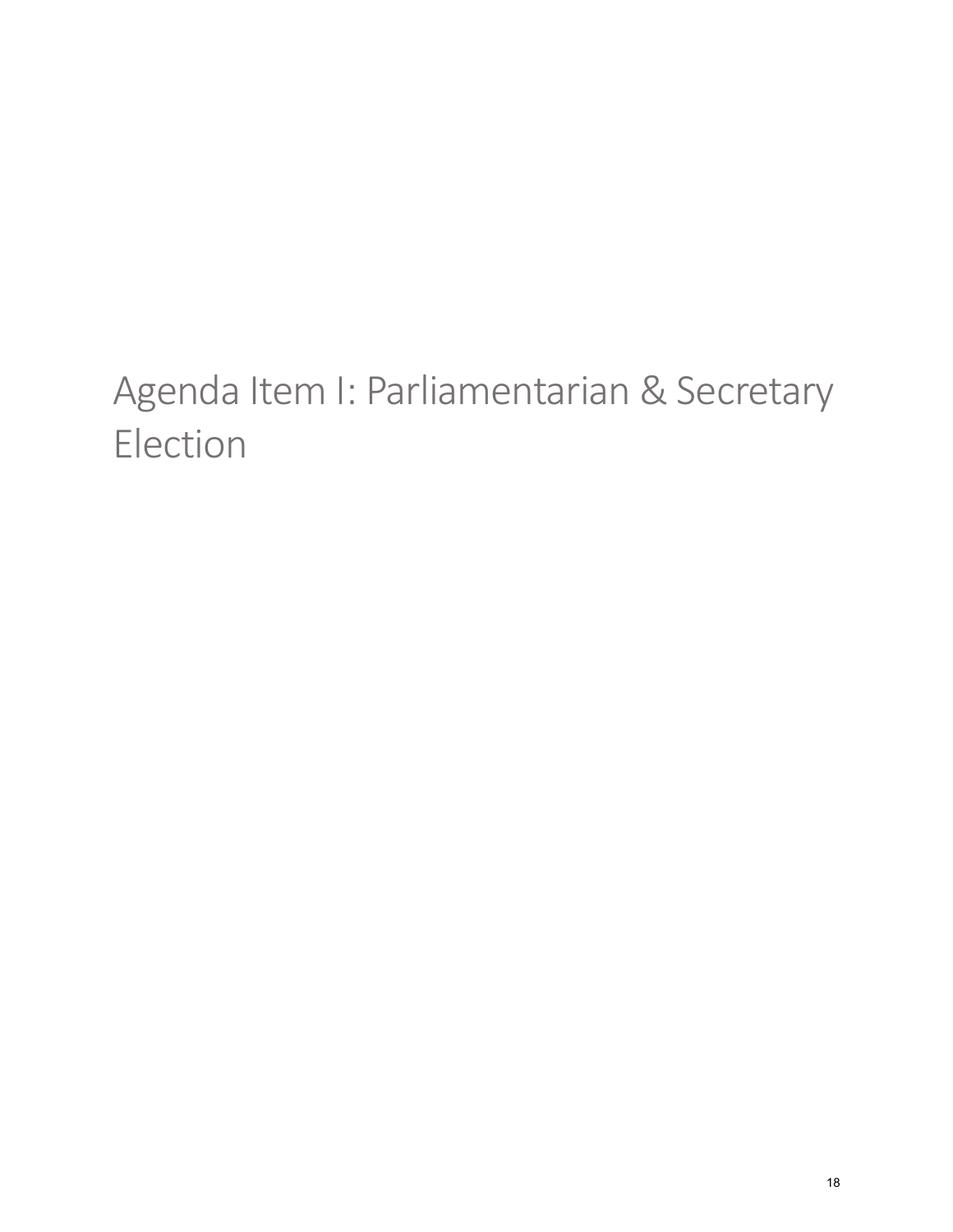# <span id="page-17-0"></span>Agenda Item I: Parliamentarian & Secretary Election